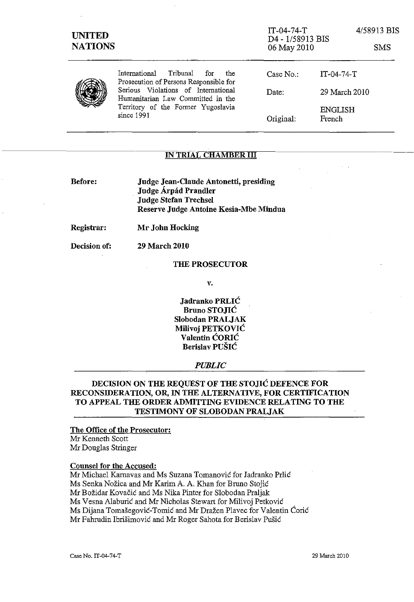| <b>UNITED</b><br><b>NATIONS</b> |                                                                                                                              | $IT-04-74-T$<br>D4 - 1/58913 BIS<br>06 May 2010 |                   | 4/58913 BIS<br><b>SMS</b> |  |
|---------------------------------|------------------------------------------------------------------------------------------------------------------------------|-------------------------------------------------|-------------------|---------------------------|--|
|                                 | Tribunal for<br>International<br>the<br>Prosecution of Persons Responsible for                                               | Case No.                                        | $IT-04-74-T$      |                           |  |
|                                 | Serious Violations of International<br>Humanitarian Law Committed in the<br>Territory of the Former Yugoslavia<br>since 1991 | Date:                                           | 29 March 2010     |                           |  |
|                                 |                                                                                                                              | Original:                                       | ENGLISH<br>French |                           |  |

# IN TRIAL CHAMBER III

| <b>Before:</b> | Judge Jean-Claude Antonetti, presiding |
|----------------|----------------------------------------|
|                | Judge Árpád Prandler                   |
|                | <b>Judge Stefan Trechsel</b>           |
|                | Reserve Judge Antoine Kesia-Mbe Mindua |

29 March 2010

Registrar: Mr John Hocking

Decision of:

### THE PROSECUTOR

v.

Jadranko PRLIC Bruno STOJIC Slobodan PRALJAK Milivoj PETKOVIC Valentin CORIC Berislav PUSIC

### *PUBLIC*

# DECISION ON THE REQUEST OF THE STOJIC DEFENCE FOR RECONSIDERATION, OR, IN THE ALTERNATIVE, FOR CERTIFICATION TO APPEAL THE ORDER ADMITTING EVIDENCE RELATING TO THE TESTIMONY OF SLOBODAN PRALJAK

# The Office of the Prosecutor:

Mr Kenneth Scott Mr Douglas Stringer

### Counsel for the Accused:

Mr Michael Karnavas and Ms Suzana Tomanovic for Iadranko Prlic

Ms Senka Nožica and Mr Karim A. A. Khan for Bruno Stojić

Mr Bozidar Kovacic and Ms Nika Pinter for Slobodan Praljak

Ms Vesna Alaburic and Mr Nicholas Stewart for Milivoj Petkovic

Ms Dijana Tomašegović-Tomić and Mr Dražen Plavec for Valentin Ćorić

Mr Fahrudin Ibrišimović and Mr Roger Sahota for Berislav Pušić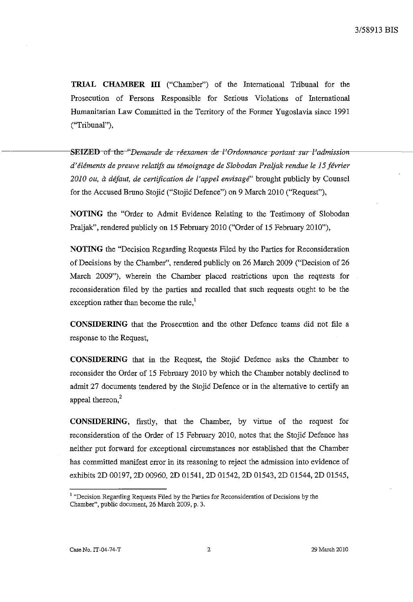**TRIAL CHAMBER ITI** ("Chamber") of the International Tribunal for the Prosecution of Persons Responsible for Serious Violations of International Humanitarian Law Committed in the Territory of the Former Yugoslavia since 1991 (''Tribunal''),

**SEIZED**-of-the-"*Demande-de-réexamen-de-l'Ordonnance-portant-sur-l'admissiond'elements de preuve relatifs au temoignage de Slobodan Praljak rendue le* 15 *jevrier*  2010 ou, à défaut, de certification de l'appel envisagé" brought publicly by Counsel for the Accused Bruno Stojic ("Stojic Defence") on 9 March 2010 ("Request"),

**NOTING** the "Order to Admit Evidence Relating to the Testimony of Slobodan Praljak", rendered publicly on 15 February 2010 ("Order of 15 February 2010"),

**NOTING** the "Decision Regarding Requests Filed by the Parties for Reconsideration of Decisions by the Chamber", rendered publicly on 26 March 2009 ("Decision of 26 March 2009"), wherein the Chamber placed restrictions upon the requests for reconsideration filed by the parties and recalled that such requests ought to be the exception rather than become the rule, $<sup>1</sup>$ </sup>

**CONSIDERING** that the Prosecution and the other Defence teams did not file a response to the Request,

**CONSIDERING** that in the Request, the Stojic Defence asks the Chamber to reconsider the Order of 15 February 2010 by which the Chamber notably declined to admit 27 documents tendered by the Stojic Defence or in the alternative to certify an appeal thereon,<sup>2</sup>

**CONSIDERING,** firstly, that the Chamber, by virtue of the request for reconsideration of the Order of 15 February 2010, notes that the Stojic Defence has neither put forward for exceptional circumstances nor established that the Chamber has committed manifest error in its reasoning to reject the admission into evidence of exhibits 2D 00197, 2D 00960, 2D 01541, 2D 01542, 2D 01543, 2D 01544, 2D 01545,

**<sup>1</sup>"Decision Regarding Requests Filed by the Parties for Reconsideration of Decisions by the**  Chamber", public document, 26 March 2009, p. 3.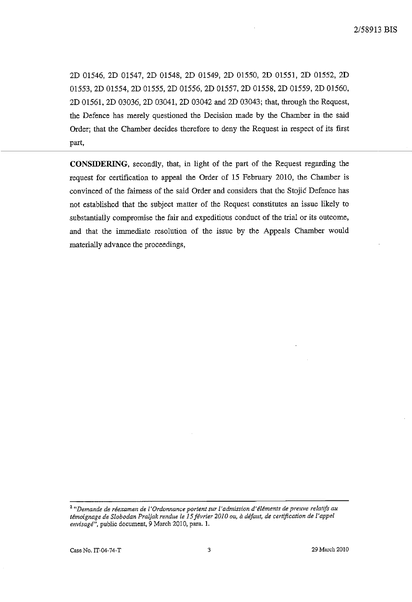2D 01546, 2D 01547, 2D 01548, 2D 01549, 2D 01550, 2D 01551, 2D 01552, 2D 01553, 2D 01554, 2D 01555, 2D 01556, 2D 01557, 2D 01558, 2D 01559, 2D 01560, 2D 01561, 2D 03036, 2D 03041, 2D 03042 and 2D 03043; that, through the Request, the Defence has merely questioned the Decision made by the Chamber in the said Order; that the Chamber decides therefore to deny the Request in respect of its first part,

**CONSIDERING,** secondly, that, in light of the part of the Request regarding the request for certification to appeal the Order of 15 February 2010, the Chamber is convinced of the fairness of the said Order and considers that the Stojic Defence has not established that the subject matter of the Request constitutes an issue likely to substantially compromise the fair and expeditious conduct of the trial or its outcome, and that the immediate resolution of the issue by the Appeals Chamber would materially advance the proceedings,

**<sup>2</sup>***"Demande de reexamen de ['Ordonnance portent sur ['admission d'elements de preuve relatifs au temoignage de Slobodan Praljak rendue le* **15** *j€vrier 2010 au, it de/aut, de certification de l'appeZ envisage",* public document, 9 March 2010, para. 1.